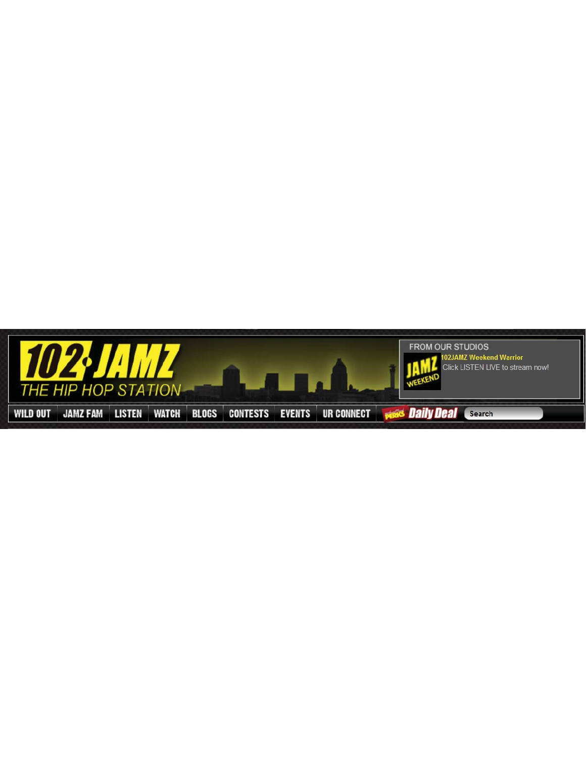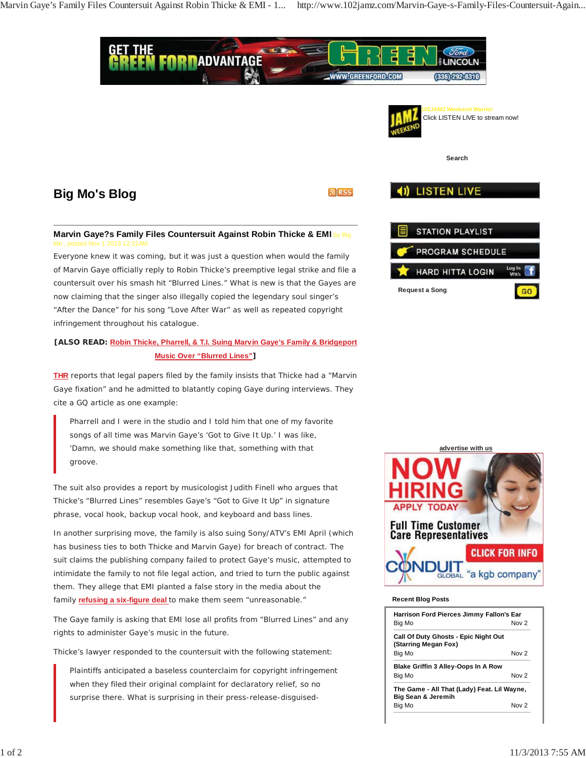

In another surprising move, the family is also suing Sony/ATV's EMI April (which has business ties to both Thicke and Marvin Gaye) for breach of contract. The suit claims the publishing company failed to protect Gaye's music, attempted to intimidate the family to not file legal action, and tried to turn the public against them. They allege that EMI planted a false story in the media about the family *refusing a six-figure deal* to make them seem "unreasonable."

The Gaye family is asking that EMI lose all profits from "Blurred Lines" and any rights to administer Gaye's music in the future.

Thicke's lawyer responded to the countersuit with the following statement:

*Plaintiffs anticipated a baseless counterclaim for copyright infringement when they filed their original complaint for declaratory relief, so no surprise there. What is surprising in their press-release-disguised-*



## **Recent Blog Posts**

| <b>Harrison Ford Pierces Jimmy Fallon's Ear</b>                   |       |
|-------------------------------------------------------------------|-------|
| Big Mo                                                            | Now 2 |
| Call Of Duty Ghosts - Epic Night Out<br>(Starring Megan Fox)      |       |
| Big Mo                                                            | Now 2 |
| <b>Blake Griffin 3 Alley-Oops In A Row</b>                        |       |
| Big Mo                                                            | Now 2 |
| The Game - All That (Lady) Feat. Lil Wayne,<br>Big Sean & Jeremih |       |
| Big Mo                                                            | Nov 2 |

*groove.*